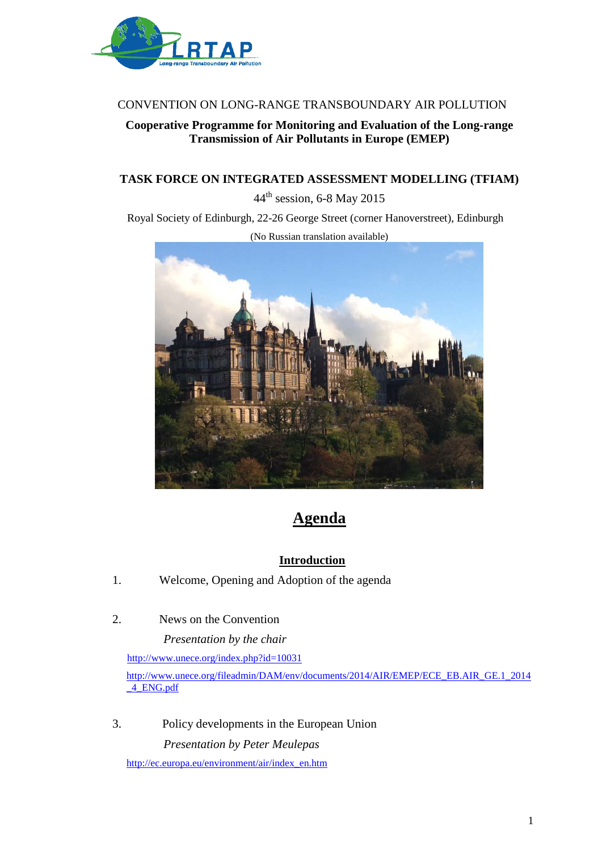

## CONVENTION ON LONG-RANGE TRANSBOUNDARY AIR POLLUTION

## **Cooperative Programme for Monitoring and Evaluation of the Long-range Transmission of Air Pollutants in Europe (EMEP)**

## **TASK FORCE ON INTEGRATED ASSESSMENT MODELLING (TFIAM)**

44th session, 6-8 May 2015

Royal Society of Edinburgh, 22-26 George Street (corner Hanoverstreet), Edinburgh



# **Agenda**

## **Introduction**

- 1. Welcome, Opening and Adoption of the agenda
- 2. News on the Convention

 *Presentation by the chair* 

<http://www.unece.org/index.php?id=10031>

[http://www.unece.org/fileadmin/DAM/env/documents/2014/AIR/EMEP/ECE\\_EB.AIR\\_GE.1\\_2014](http://www.unece.org/fileadmin/DAM/env/documents/2014/AIR/EMEP/ECE_EB.AIR_GE.1_2014_4_ENG.pdf) [\\_4\\_ENG.pdf](http://www.unece.org/fileadmin/DAM/env/documents/2014/AIR/EMEP/ECE_EB.AIR_GE.1_2014_4_ENG.pdf)

3. Policy developments in the European Union *Presentation by Peter Meulepas*

[http://ec.europa.eu/environment/air/index\\_en.htm](http://ec.europa.eu/environment/air/index_en.htm)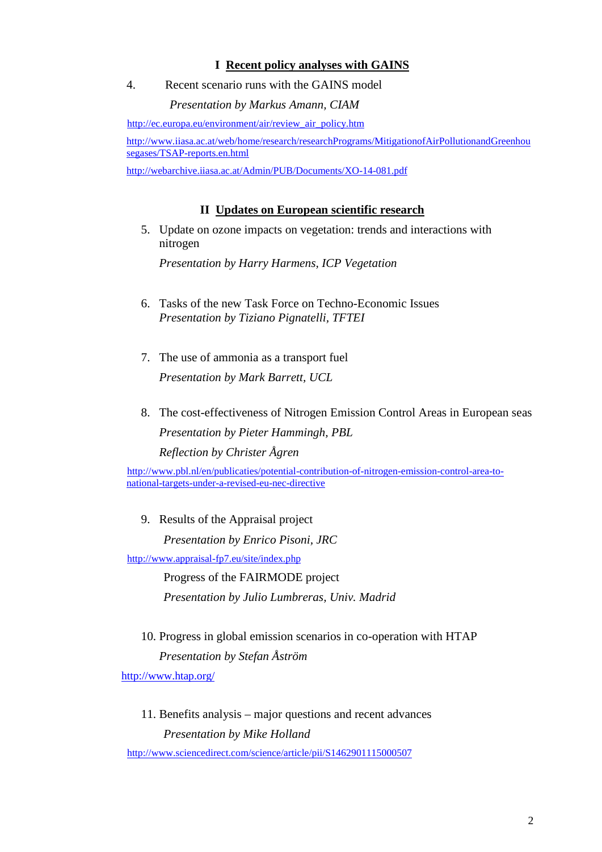### **I Recent policy analyses with GAINS**

4. Recent scenario runs with the GAINS model

#### *Presentation by Markus Amann, CIAM*

[http://ec.europa.eu/environment/air/review\\_air\\_policy.htm](http://ec.europa.eu/environment/air/review_air_policy.htm)

[http://www.iiasa.ac.at/web/home/research/researchPrograms/MitigationofAirPollutionandGreenhou](http://www.iiasa.ac.at/web/home/research/researchPrograms/MitigationofAirPollutionandGreenhousegases/TSAP-reports.en.html) [segases/TSAP-reports.en.html](http://www.iiasa.ac.at/web/home/research/researchPrograms/MitigationofAirPollutionandGreenhousegases/TSAP-reports.en.html)

<http://webarchive.iiasa.ac.at/Admin/PUB/Documents/XO-14-081.pdf>

## **II Updates on European scientific research**

5. Update on ozone impacts on vegetation: trends and interactions with nitrogen

*Presentation by Harry Harmens, ICP Vegetation*

- 6. Tasks of the new Task Force on Techno-Economic Issues *Presentation by Tiziano Pignatelli, TFTEI*
- 7. The use of ammonia as a transport fuel *Presentation by Mark Barrett, UCL*
- 8. The cost-effectiveness of Nitrogen Emission Control Areas in European seas *Presentation by Pieter Hammingh, PBL Reflection by Christer Ågren*

[http://www.pbl.nl/en/publicaties/potential-contribution-of-nitrogen-emission-control-area-to](http://www.pbl.nl/en/publicaties/potential-contribution-of-nitrogen-emission-control-area-to-national-targets-under-a-revised-eu-nec-directive)[national-targets-under-a-revised-eu-nec-directive](http://www.pbl.nl/en/publicaties/potential-contribution-of-nitrogen-emission-control-area-to-national-targets-under-a-revised-eu-nec-directive)

9. Results of the Appraisal project

 *Presentation by Enrico Pisoni, JRC* 

<http://www.appraisal-fp7.eu/site/index.php>

Progress of the FAIRMODE project *Presentation by Julio Lumbreras, Univ. Madrid*

10. Progress in global emission scenarios in co-operation with HTAP *Presentation by Stefan Åström* 

<http://www.htap.org/>

11. Benefits analysis – major questions and recent advances *Presentation by Mike Holland* 

<http://www.sciencedirect.com/science/article/pii/S1462901115000507>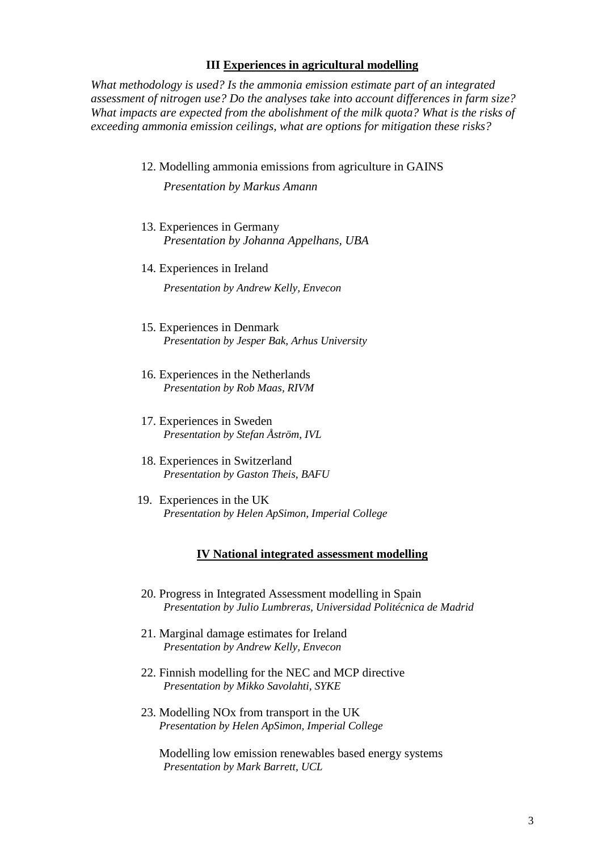#### **III Experiences in agricultural modelling**

*What methodology is used? Is the ammonia emission estimate part of an integrated assessment of nitrogen use? Do the analyses take into account differences in farm size? What impacts are expected from the abolishment of the milk quota? What is the risks of exceeding ammonia emission ceilings, what are options for mitigation these risks?*

12. Modelling ammonia emissions from agriculture in GAINS

*Presentation by Markus Amann* 

- 13. Experiences in Germany *Presentation by Johanna Appelhans, UBA*
- 14. Experiences in Ireland

*Presentation by Andrew Kelly, Envecon*

- 15. Experiences in Denmark *Presentation by Jesper Bak, Arhus University*
- 16. Experiences in the Netherlands *Presentation by Rob Maas, RIVM*
- 17. Experiences in Sweden *Presentation by Stefan Åström, IVL*
- 18. Experiences in Switzerland *Presentation by Gaston Theis, BAFU*
- 19. Experiences in the UK *Presentation by Helen ApSimon, Imperial College*

#### **IV National integrated assessment modelling**

- 20. Progress in Integrated Assessment modelling in Spain *Presentation by Julio Lumbreras, Universidad Politécnica de Madrid*
- 21. Marginal damage estimates for Ireland *Presentation by Andrew Kelly, Envecon*
- 22. Finnish modelling for the NEC and MCP directive *Presentation by Mikko Savolahti, SYKE*
- 23. Modelling NOx from transport in the UK *Presentation by Helen ApSimon, Imperial College*

Modelling low emission renewables based energy systems *Presentation by Mark Barrett, UCL*